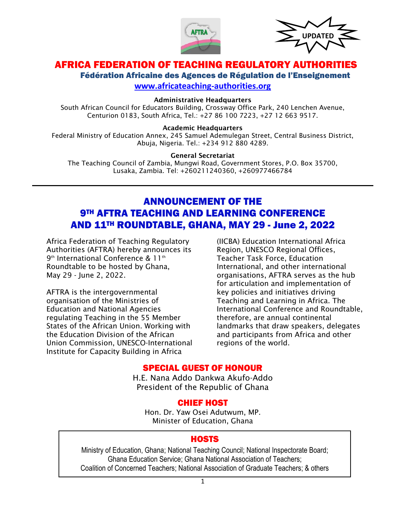



# AFRICA FEDERATION OF TEACHING REGULATORY AUTHORIT

Fédération Africaine des Agences de Régulation de l'Enseignement **[www.africateaching-authorities.org](http://www.africateaching-authorities.org/)**

#### Administrative Headquarters

South African Council for Educators Building, Crossway Office Park, 240 Lenchen Avenue, Centurion 0183, South Africa, Tel.: +27 86 100 7223, +27 12 663 9517.

#### Academic Headquarters

Federal Ministry of Education Annex, 245 Samuel Ademulegan Street, Central Business District, Abuja, Nigeria. Tel.: +234 912 880 4289.

#### General Secretariat

The Teaching Council of Zambia, Mungwi Road, Government Stores, P.O. Box 35700, Lusaka, Zambia. Tel: +260211240360, +260977466784

## ANNOUNCEMENT OF THE **9TH AFTRA TEACHING AND LEARNING CONFERENCE** AND 11TH ROUNDTABLE, GHANA, MAY 29 - June 2, 2022

Africa Federation of Teaching Regulatory Authorities (AFTRA) hereby announces its 9th International Conference & 11th Roundtable to be hosted by Ghana, May 29 - June 2, 2022.

AFTRA is the intergovernmental organisation of the Ministries of Education and National Agencies regulating Teaching in the 55 Member States of the African Union. Working with the Education Division of the African Union Commission, UNESCO-International Institute for Capacity Building in Africa

(IICBA) Education International Africa Region, UNESCO Regional Offices, Teacher Task Force, Education International, and other international organisations, AFTRA serves as the hub for articulation and implementation of key policies and initiatives driving Teaching and Learning in Africa. The International Conference and Roundtable, therefore, are annual continental landmarks that draw speakers, delegates and participants from Africa and other regions of the world.

### SPECIAL GUEST OF HONOUR

H.E. Nana Addo Dankwa Akufo-Addo President of the Republic of Ghana

#### CHIEF HOST

Hon. Dr. Yaw Osei Adutwum, MP. Minister of Education, Ghana

### **HOSTS**

Ministry of Education, Ghana; National Teaching Council; National Inspectorate Board; Ghana Education Service; Ghana National Association of Teachers; Coalition of Concerned Teachers; National Association of Graduate Teachers; & others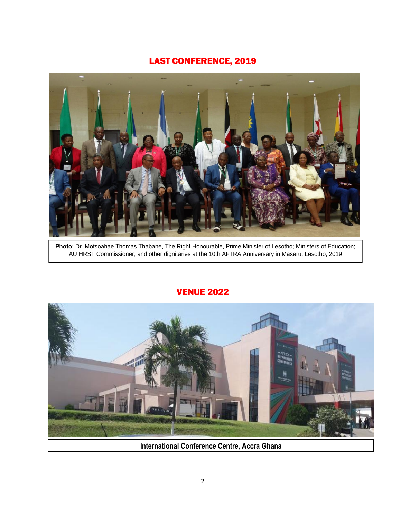## LAST CONFERENCE, 2019



**Photo**: Dr. Motsoahae Thomas Thabane, The Right Honourable, Prime Minister of Lesotho; Ministers of Education; AU HRST Commissioner; and other dignitaries at the 10th AFTRA Anniversary in Maseru, Lesotho, 2019

### VENUE 2022



**International Conference Centre, Accra Ghana**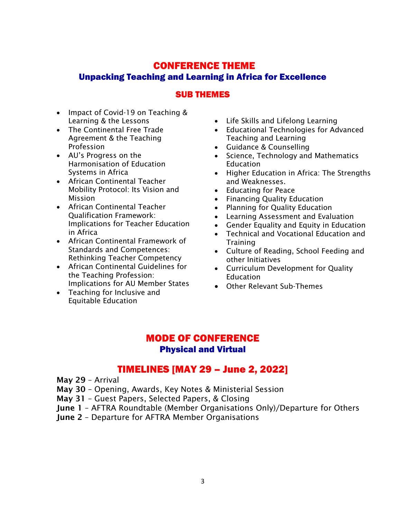# CONFERENCE THEME Unpacking Teaching and Learning in Africa for Excellence

### SUB THEMES

- Impact of Covid-19 on Teaching & Learning & the Lessons
- The Continental Free Trade Agreement & the Teaching Profession
- AU's Progress on the Harmonisation of Education Systems in Africa
- African Continental Teacher Mobility Protocol: Its Vision and Mission
- African Continental Teacher Qualification Framework: Implications for Teacher Education in Africa
- African Continental Framework of Standards and Competences: Rethinking Teacher Competency
- African Continental Guidelines for the Teaching Profession: Implications for AU Member States
- Teaching for Inclusive and Equitable Education
- Life Skills and Lifelong Learning
- Educational Technologies for Advanced Teaching and Learning
- Guidance & Counselling
- Science, Technology and Mathematics Education
- Higher Education in Africa: The Strengths and Weaknesses.
- Educating for Peace
- Financing Quality Education
- Planning for Quality Education
- Learning Assessment and Evaluation
- Gender Equality and Equity in Education
- Technical and Vocational Education and **Training**
- Culture of Reading, School Feeding and other Initiatives
- Curriculum Development for Quality **Education**
- Other Relevant Sub-Themes

## MODE OF CONFERENCE Physical and Virtual

# TIMELINES [MAY 29 – June 2, 2022]

- May 29 Arrival
- May 30 Opening, Awards, Key Notes & Ministerial Session
- May 31 Guest Papers, Selected Papers, & Closing
- June 1 AFTRA Roundtable (Member Organisations Only)/Departure for Others
- June 2 Departure for AFTRA Member Organisations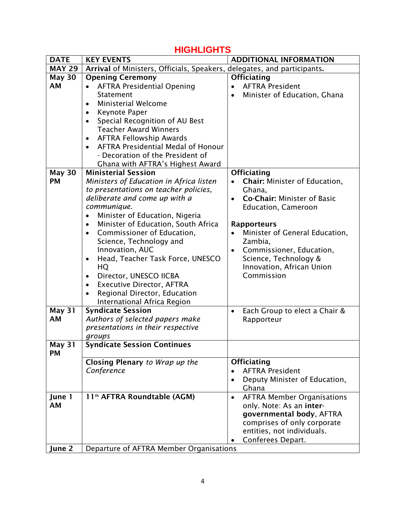# **HIGHLIGHTS**

| <b>DATE</b>         | <b>KEY EVENTS</b>                                                       | <b>ADDITIONAL INFORMATION</b>                   |
|---------------------|-------------------------------------------------------------------------|-------------------------------------------------|
| <b>MAY 29</b>       | Arrival of Ministers, Officials, Speakers, delegates, and participants. |                                                 |
| <b>May 30</b>       | <b>Opening Ceremony</b>                                                 | <b>Officiating</b>                              |
| AM                  | <b>AFTRA Presidential Opening</b>                                       | <b>AFTRA President</b><br>$\bullet$             |
|                     | Statement                                                               | Minister of Education, Ghana<br>$\bullet$       |
|                     | <b>Ministerial Welcome</b><br>$\bullet$                                 |                                                 |
|                     | Keynote Paper<br>$\bullet$                                              |                                                 |
|                     | Special Recognition of AU Best                                          |                                                 |
|                     | <b>Teacher Award Winners</b>                                            |                                                 |
|                     | <b>AFTRA Fellowship Awards</b><br>$\bullet$                             |                                                 |
|                     | <b>AFTRA Presidential Medal of Honour</b>                               |                                                 |
|                     | - Decoration of the President of                                        |                                                 |
|                     | Ghana with AFTRA's Highest Award                                        |                                                 |
| <b>May 30</b>       | <b>Ministerial Session</b>                                              | <b>Officiating</b>                              |
| <b>PM</b>           | Ministers of Education in Africa listen                                 | Chair: Minister of Education,<br>$\bullet$      |
|                     | to presentations on teacher policies,                                   | Ghana,                                          |
|                     | deliberate and come up with a                                           | <b>Co-Chair: Minister of Basic</b><br>$\bullet$ |
|                     | communique.                                                             | <b>Education, Cameroon</b>                      |
|                     | Minister of Education, Nigeria<br>$\bullet$                             |                                                 |
|                     | Minister of Education, South Africa<br>$\bullet$                        | <b>Rapporteurs</b>                              |
|                     | Commissioner of Education,<br>$\bullet$                                 | Minister of General Education,                  |
|                     | Science, Technology and                                                 | Zambia,                                         |
|                     | Innovation, AUC                                                         | Commissioner, Education,<br>$\bullet$           |
|                     | Head, Teacher Task Force, UNESCO<br>$\bullet$                           | Science, Technology &                           |
|                     | HQ                                                                      | Innovation, African Union                       |
|                     | Director, UNESCO IICBA<br>$\bullet$                                     | Commission                                      |
|                     | <b>Executive Director, AFTRA</b><br>$\bullet$                           |                                                 |
|                     | Regional Director, Education                                            |                                                 |
|                     | International Africa Region                                             |                                                 |
| <b>May 31</b><br>AM | <b>Syndicate Session</b><br>Authors of selected papers make             | Each Group to elect a Chair &<br>$\bullet$      |
|                     | presentations in their respective                                       | Rapporteur                                      |
|                     | groups                                                                  |                                                 |
| May 31              | <b>Syndicate Session Continues</b>                                      |                                                 |
| <b>PM</b>           |                                                                         |                                                 |
|                     | Closing Plenary to Wrap up the                                          | <b>Officiating</b>                              |
|                     | Conference                                                              | <b>AFTRA President</b><br>$\bullet$             |
|                     |                                                                         | Deputy Minister of Education,<br>$\bullet$      |
|                     |                                                                         | Ghana                                           |
| June 1              | 11 <sup>th</sup> AFTRA Roundtable (AGM)                                 | <b>AFTRA Member Organisations</b><br>$\bullet$  |
| <b>AM</b>           |                                                                         | only. Note: As an inter-                        |
|                     |                                                                         | governmental body, AFTRA                        |
|                     |                                                                         | comprises of only corporate                     |
|                     |                                                                         | entities, not individuals.                      |
|                     |                                                                         | Conferees Depart.<br>٠                          |
| June 2              | Departure of AFTRA Member Organisations                                 |                                                 |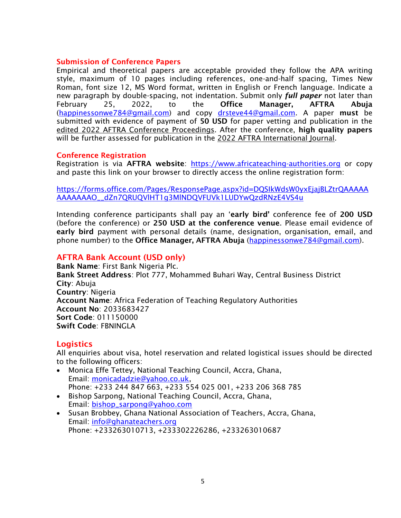### Submission of Conference Papers

Empirical and theoretical papers are acceptable provided they follow the APA writing style, maximum of 10 pages including references, one-and-half spacing, Times New Roman, font size 12, MS Word format, written in English or French language. Indicate a new paragraph by double-spacing, not indentation. Submit only *full paper* not later than February 25, 2022, to the Office Manager, AFTRA Abuja [\(happinessonwe784@gmail.com\)](mailto:happinessonwe784@gmail.com) and copy [drsteve44@gmail.com.](mailto:drsteve44@gmail.com) A paper must be submitted with evidence of payment of 50 USD for paper vetting and publication in the edited 2022 AFTRA Conference Proceedings. After the conference, high quality papers will be further assessed for publication in the 2022 AFTRA International Journal.

#### Conference Registration

Registration is via AFTRA website: [https://www.africateaching-authorities.org](https://www.africateaching-authorities.org/) or copy and paste this link on your browser to directly access the online registration form:

[https://forms.office.com/Pages/ResponsePage.aspx?id=DQSIkWdsW0yxEjajBLZtrQAAAAA](https://forms.office.com/Pages/ResponsePage.aspx?id=DQSIkWdsW0yxEjajBLZtrQAAAAAAAAAAAAO__dZn7QRUQVlHT1g3MlNDQVFUVk1LUDYwQzdRNzE4VS4u) [AAAAAAAO\\_\\_dZn7QRUQVlHT1g3MlNDQVFUVk1LUDYwQzdRNzE4VS4u](https://forms.office.com/Pages/ResponsePage.aspx?id=DQSIkWdsW0yxEjajBLZtrQAAAAAAAAAAAAO__dZn7QRUQVlHT1g3MlNDQVFUVk1LUDYwQzdRNzE4VS4u)

Intending conference participants shall pay an 'early bird' conference fee of 200 USD (before the conference) or 250 USD at the conference venue. Please email evidence of early bird payment with personal details (name, designation, organisation, email, and phone number) to the **Office Manager, AFTRA Abuja** [\(happinessonwe784@gmail.com\)](mailto:happinessonwe784@gmail.com).

### AFTRA Bank Account (USD only)

Bank Name: First Bank Nigeria Plc. Bank Street Address: Plot 777, Mohammed Buhari Way, Central Business District City: Abuja Country: Nigeria Account Name: Africa Federation of Teaching Regulatory Authorities Account No: 2033683427 Sort Code: 011150000 Swift Code: FBNINGLA

### **Logistics**

All enquiries about visa, hotel reservation and related logistical issues should be directed to the following officers:

- Monica Effe Tettey, National Teaching Council, Accra, Ghana, Email: [monicadadzie@yahoo.co.uk,](mailto:monicadadzie@yahoo.co.uk) Phone: +233 244 847 663, +233 554 025 001, +233 206 368 785
- Bishop Sarpong, National Teaching Council, Accra, Ghana, Email: [bishop\\_sarpong@yahoo.com](mailto:bishop_sarpong@yahoo.com)
- Susan Brobbey, Ghana National Association of Teachers, Accra, Ghana, Email: [info@ghanateachers.org](mailto:info@ghanateachers.org) Phone: +233263010713, +233302226286, +233263010687